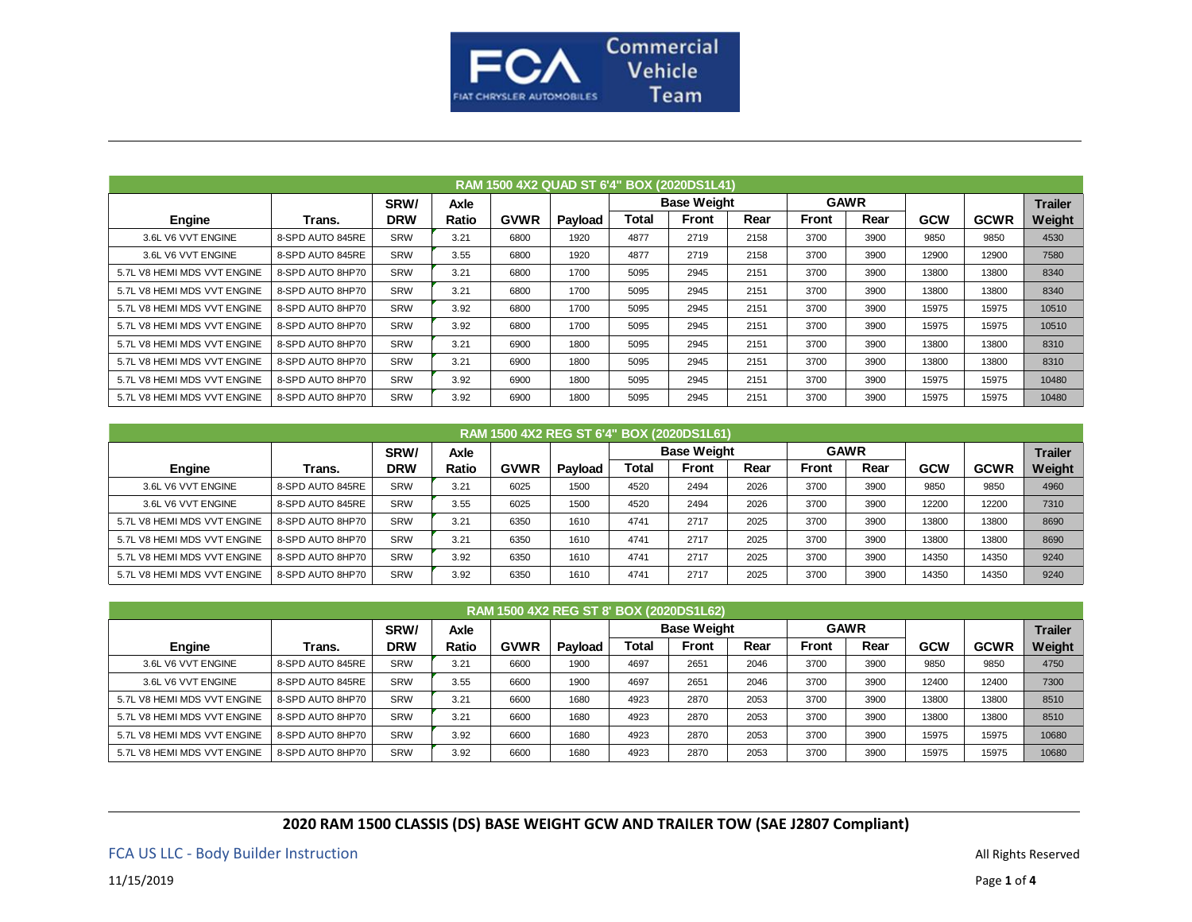

|                             | RAM 1500 4X2 QUAD ST 6'4" BOX (2020DS1L41) |            |             |             |         |       |                    |      |              |             |            |             |                |  |
|-----------------------------|--------------------------------------------|------------|-------------|-------------|---------|-------|--------------------|------|--------------|-------------|------------|-------------|----------------|--|
|                             |                                            | SRW/       | <b>Axle</b> |             |         |       | <b>Base Weight</b> |      |              | <b>GAWR</b> |            |             | <b>Trailer</b> |  |
| Engine                      | Trans.                                     | <b>DRW</b> | Ratio       | <b>GVWR</b> | Payload | Total | <b>Front</b>       | Rear | <b>Front</b> | Rear        | <b>GCW</b> | <b>GCWR</b> | Weight         |  |
| 3.6L V6 VVT ENGINE          | 8-SPD AUTO 845RE                           | <b>SRW</b> | 3.21        | 6800        | 1920    | 4877  | 2719               | 2158 | 3700         | 3900        | 9850       | 9850        | 4530           |  |
| 3.6L V6 VVT ENGINE          | 8-SPD AUTO 845RE                           | <b>SRW</b> | 3.55        | 6800        | 1920    | 4877  | 2719               | 2158 | 3700         | 3900        | 12900      | 12900       | 7580           |  |
| 5.7L V8 HEMI MDS VVT ENGINE | 8-SPD AUTO 8HP70                           | <b>SRW</b> | 3.21        | 6800        | 1700    | 5095  | 2945               | 2151 | 3700         | 3900        | 13800      | 13800       | 8340           |  |
| 5.7L V8 HEMI MDS VVT ENGINE | 8-SPD AUTO 8HP70                           | <b>SRW</b> | 3.21        | 6800        | 1700    | 5095  | 2945               | 2151 | 3700         | 3900        | 13800      | 13800       | 8340           |  |
| 5.7L V8 HEMI MDS VVT ENGINE | 8-SPD AUTO 8HP70                           | <b>SRW</b> | 3.92        | 6800        | 1700    | 5095  | 2945               | 2151 | 3700         | 3900        | 15975      | 15975       | 10510          |  |
| 5.7L V8 HEMI MDS VVT ENGINE | 8-SPD AUTO 8HP70                           | <b>SRW</b> | 3.92        | 6800        | 1700    | 5095  | 2945               | 2151 | 3700         | 3900        | 15975      | 15975       | 10510          |  |
| 5.7L V8 HEMI MDS VVT ENGINE | 8-SPD AUTO 8HP70                           | <b>SRW</b> | 3.21        | 6900        | 1800    | 5095  | 2945               | 2151 | 3700         | 3900        | 13800      | 13800       | 8310           |  |
| 5.7L V8 HEMI MDS VVT ENGINE | 8-SPD AUTO 8HP70                           | <b>SRW</b> | 3.21        | 6900        | 1800    | 5095  | 2945               | 2151 | 3700         | 3900        | 13800      | 13800       | 8310           |  |
| 5.7L V8 HEMI MDS VVT ENGINE | 8-SPD AUTO 8HP70                           | <b>SRW</b> | 3.92        | 6900        | 1800    | 5095  | 2945               | 2151 | 3700         | 3900        | 15975      | 15975       | 10480          |  |
| 5.7L V8 HEMI MDS VVT ENGINE | 8-SPD AUTO 8HP70                           | <b>SRW</b> | 3.92        | 6900        | 1800    | 5095  | 2945               | 2151 | 3700         | 3900        | 15975      | 15975       | 10480          |  |

| RAM 1500 4X2 REG ST 6'4" BOX (2020DS1L61) |                  |            |             |             |         |       |                    |      |              |      |            |             |                |  |
|-------------------------------------------|------------------|------------|-------------|-------------|---------|-------|--------------------|------|--------------|------|------------|-------------|----------------|--|
|                                           |                  | SRW/       | <b>Axle</b> |             |         |       | <b>Base Weight</b> |      | <b>GAWR</b>  |      |            |             | <b>Trailer</b> |  |
| Engine                                    | Trans.           | <b>DRW</b> | Ratio       | <b>GVWR</b> | Payload | Total | <b>Front</b>       | Rear | <b>Front</b> | Rear | <b>GCW</b> | <b>GCWR</b> | Weight         |  |
| 3.6L V6 VVT ENGINE                        | 8-SPD AUTO 845RE | <b>SRW</b> | 3.21        | 6025        | 1500    | 4520  | 2494               | 2026 | 3700         | 3900 | 9850       | 9850        | 4960           |  |
| 3.6L V6 VVT ENGINE                        | 8-SPD AUTO 845RE | <b>SRW</b> | 3.55        | 6025        | 1500    | 4520  | 2494               | 2026 | 3700         | 3900 | 12200      | 12200       | 7310           |  |
| 5.7L V8 HEMI MDS VVT ENGINE               | 8-SPD AUTO 8HP70 | <b>SRW</b> | 3.21        | 6350        | 1610    | 4741  | 2717               | 2025 | 3700         | 3900 | 13800      | 13800       | 8690           |  |
| 5.7L V8 HEMI MDS VVT ENGINE               | 8-SPD AUTO 8HP70 | <b>SRW</b> | 3.21        | 6350        | 1610    | 4741  | 2717               | 2025 | 3700         | 3900 | 13800      | 13800       | 8690           |  |
| 5.7L V8 HEMI MDS VVT ENGINE               | 8-SPD AUTO 8HP70 | <b>SRW</b> | 3.92        | 6350        | 1610    | 4741  | 2717               | 2025 | 3700         | 3900 | 14350      | 14350       | 9240           |  |
| 5.7L V8 HEMI MDS VVT ENGINE               | 8-SPD AUTO 8HP70 | <b>SRW</b> | 3.92        | 6350        | 1610    | 4741  | 2717               | 2025 | 3700         | 3900 | 14350      | 14350       | 9240           |  |

| RAM 1500 4X2 REG ST 8' BOX (2020DS1L62) |                  |            |       |             |         |       |                    |      |              |      |            |             |                |  |
|-----------------------------------------|------------------|------------|-------|-------------|---------|-------|--------------------|------|--------------|------|------------|-------------|----------------|--|
|                                         |                  | SRW/       | Axle  |             |         |       | <b>Base Weight</b> |      | <b>GAWR</b>  |      |            |             | <b>Trailer</b> |  |
| Engine                                  | Trans.           | <b>DRW</b> | Ratio | <b>GVWR</b> | Payload | Total | <b>Front</b>       | Rear | <b>Front</b> | Rear | <b>GCW</b> | <b>GCWR</b> | Weight         |  |
| 3.6L V6 VVT ENGINE                      | 8-SPD AUTO 845RE | <b>SRW</b> | 3.21  | 6600        | 1900    | 4697  | 2651               | 2046 | 3700         | 3900 | 9850       | 9850        | 4750           |  |
| 3.6L V6 VVT ENGINE                      | 8-SPD AUTO 845RE | <b>SRW</b> | 3.55  | 6600        | 1900    | 4697  | 2651               | 2046 | 3700         | 3900 | 12400      | 12400       | 7300           |  |
| 5.7L V8 HEMI MDS VVT ENGINE             | 8-SPD AUTO 8HP70 | <b>SRW</b> | 3.21  | 6600        | 1680    | 4923  | 2870               | 2053 | 3700         | 3900 | 13800      | 13800       | 8510           |  |
| 5.7L V8 HEMI MDS VVT ENGINE             | 8-SPD AUTO 8HP70 | <b>SRW</b> | 3.21  | 6600        | 1680    | 4923  | 2870               | 2053 | 3700         | 3900 | 13800      | 13800       | 8510           |  |
| 5.7L V8 HEMI MDS VVT ENGINE             | 8-SPD AUTO 8HP70 | <b>SRW</b> | 3.92  | 6600        | 1680    | 4923  | 2870               | 2053 | 3700         | 3900 | 15975      | 15975       | 10680          |  |
| 5.7L V8 HEMI MDS VVT ENGINE             | 8-SPD AUTO 8HP70 | <b>SRW</b> | 3.92  | 6600        | 1680    | 4923  | 2870               | 2053 | 3700         | 3900 | 15975      | 15975       | 10680          |  |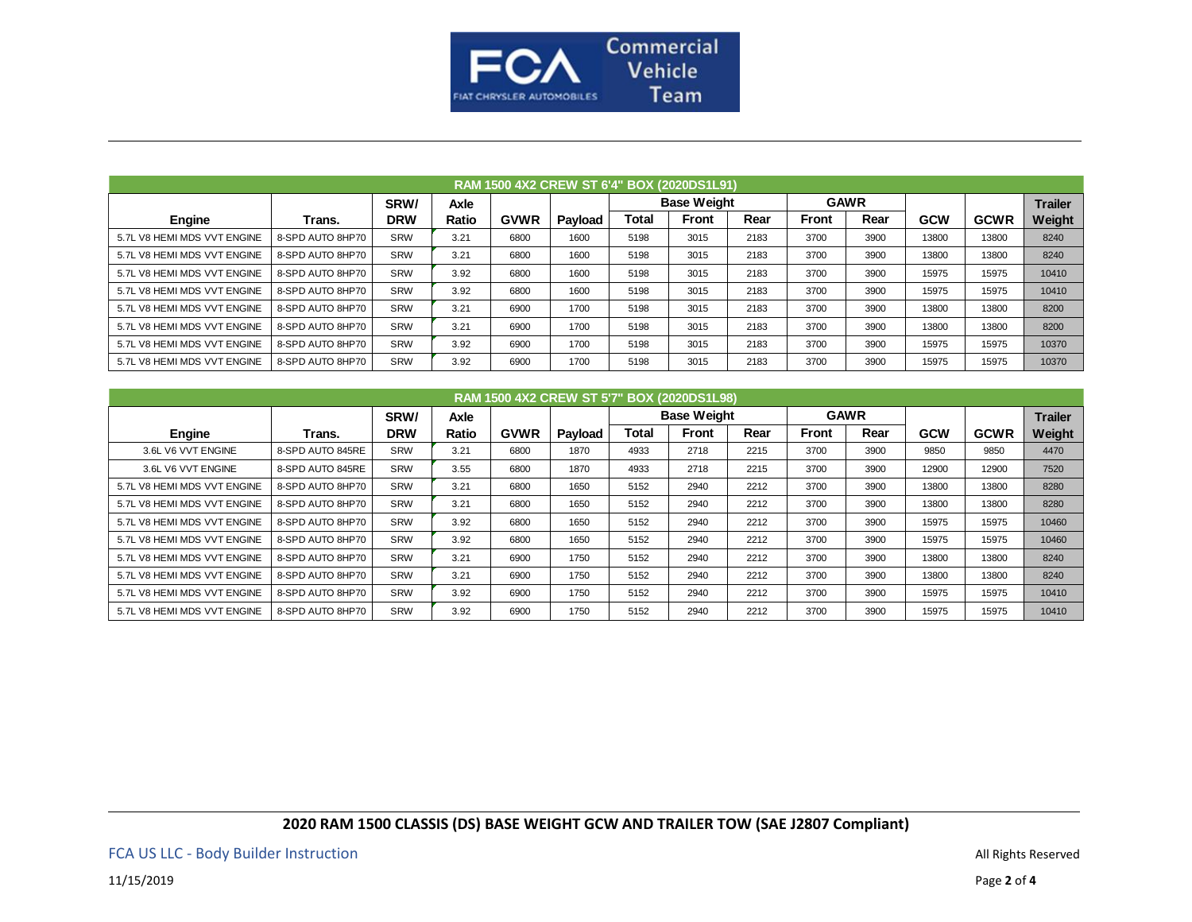

| RAM 1500 4X2 CREW ST 6'4" BOX (2020DS1L91) |                  |            |             |             |         |       |                    |      |              |      |            |             |                |  |
|--------------------------------------------|------------------|------------|-------------|-------------|---------|-------|--------------------|------|--------------|------|------------|-------------|----------------|--|
|                                            |                  | SRW/       | <b>Axle</b> |             |         |       | <b>Base Weight</b> |      | <b>GAWR</b>  |      |            |             | <b>Trailer</b> |  |
| Engine                                     | Trans.           | <b>DRW</b> | Ratio       | <b>GVWR</b> | Payload | Total | <b>Front</b>       | Rear | <b>Front</b> | Rear | <b>GCW</b> | <b>GCWR</b> | Weight         |  |
| 5.7L V8 HEMI MDS VVT ENGINE                | 8-SPD AUTO 8HP70 | SRW        | 3.21        | 6800        | 1600    | 5198  | 3015               | 2183 | 3700         | 3900 | 13800      | 13800       | 8240           |  |
| 5.7L V8 HEMI MDS VVT ENGINE                | 8-SPD AUTO 8HP70 | SRW        | 3.21        | 6800        | 1600    | 5198  | 3015               | 2183 | 3700         | 3900 | 13800      | 13800       | 8240           |  |
| 5.7L V8 HEMI MDS VVT ENGINE                | 8-SPD AUTO 8HP70 | SRW        | 3.92        | 6800        | 1600    | 5198  | 3015               | 2183 | 3700         | 3900 | 15975      | 15975       | 10410          |  |
| 5.7L V8 HEMI MDS VVT ENGINE                | 8-SPD AUTO 8HP70 | SRW        | 3.92        | 6800        | 1600    | 5198  | 3015               | 2183 | 3700         | 3900 | 15975      | 15975       | 10410          |  |
| 5.7L V8 HEMI MDS VVT ENGINE                | 8-SPD AUTO 8HP70 | SRW        | 3.21        | 6900        | 1700    | 5198  | 3015               | 2183 | 3700         | 3900 | 13800      | 13800       | 8200           |  |
| 5.7L V8 HEMI MDS VVT ENGINE                | 8-SPD AUTO 8HP70 | SRW        | 3.21        | 6900        | 1700    | 5198  | 3015               | 2183 | 3700         | 3900 | 13800      | 13800       | 8200           |  |
| 5.7L V8 HEMI MDS VVT ENGINE                | 8-SPD AUTO 8HP70 | SRW        | 3.92        | 6900        | 1700    | 5198  | 3015               | 2183 | 3700         | 3900 | 15975      | 15975       | 10370          |  |
| 5.7L V8 HEMI MDS VVT ENGINE                | 8-SPD AUTO 8HP70 | SRW        | 3.92        | 6900        | 1700    | 5198  | 3015               | 2183 | 3700         | 3900 | 15975      | 15975       | 10370          |  |

|                             | RAM 1500 4X2 CREW ST 5'7" BOX (2020DS1L98) |            |             |             |         |       |                    |      |              |      |            |             |                |  |
|-----------------------------|--------------------------------------------|------------|-------------|-------------|---------|-------|--------------------|------|--------------|------|------------|-------------|----------------|--|
|                             |                                            | SRW/       | <b>Axle</b> |             |         |       | <b>Base Weight</b> |      | <b>GAWR</b>  |      |            |             | <b>Trailer</b> |  |
| Engine                      | Trans.                                     | <b>DRW</b> | Ratio       | <b>GVWR</b> | Payload | Total | <b>Front</b>       | Rear | <b>Front</b> | Rear | <b>GCW</b> | <b>GCWR</b> | Weight         |  |
| 3.6L V6 VVT ENGINE          | 8-SPD AUTO 845RE                           | SRW        | 3.21        | 6800        | 1870    | 4933  | 2718               | 2215 | 3700         | 3900 | 9850       | 9850        | 4470           |  |
| 3.6L V6 VVT ENGINE          | 8-SPD AUTO 845RE                           | <b>SRW</b> | 3.55        | 6800        | 1870    | 4933  | 2718               | 2215 | 3700         | 3900 | 12900      | 12900       | 7520           |  |
| 5.7L V8 HEMI MDS VVT ENGINE | 8-SPD AUTO 8HP70                           | <b>SRW</b> | 3.21        | 6800        | 1650    | 5152  | 2940               | 2212 | 3700         | 3900 | 13800      | 13800       | 8280           |  |
| 5.7L V8 HEMI MDS VVT ENGINE | 8-SPD AUTO 8HP70                           | <b>SRW</b> | 3.21        | 6800        | 1650    | 5152  | 2940               | 2212 | 3700         | 3900 | 13800      | 13800       | 8280           |  |
| 5.7L V8 HEMI MDS VVT ENGINE | 8-SPD AUTO 8HP70                           | SRW        | 3.92        | 6800        | 1650    | 5152  | 2940               | 2212 | 3700         | 3900 | 15975      | 15975       | 10460          |  |
| 5.7L V8 HEMI MDS VVT ENGINE | 8-SPD AUTO 8HP70                           | SRW        | 3.92        | 6800        | 1650    | 5152  | 2940               | 2212 | 3700         | 3900 | 15975      | 15975       | 10460          |  |
| 5.7L V8 HEMI MDS VVT ENGINE | 8-SPD AUTO 8HP70                           | <b>SRW</b> | 3.21        | 6900        | 1750    | 5152  | 2940               | 2212 | 3700         | 3900 | 13800      | 13800       | 8240           |  |
| 5.7L V8 HEMI MDS VVT ENGINE | 8-SPD AUTO 8HP70                           | <b>SRW</b> | 3.21        | 6900        | 1750    | 5152  | 2940               | 2212 | 3700         | 3900 | 13800      | 13800       | 8240           |  |
| 5.7L V8 HEMI MDS VVT ENGINE | 8-SPD AUTO 8HP70                           | <b>SRW</b> | 3.92        | 6900        | 1750    | 5152  | 2940               | 2212 | 3700         | 3900 | 15975      | 15975       | 10410          |  |
| 5.7L V8 HEMI MDS VVT ENGINE | 8-SPD AUTO 8HP70                           | <b>SRW</b> | 3.92        | 6900        | 1750    | 5152  | 2940               | 2212 | 3700         | 3900 | 15975      | 15975       | 10410          |  |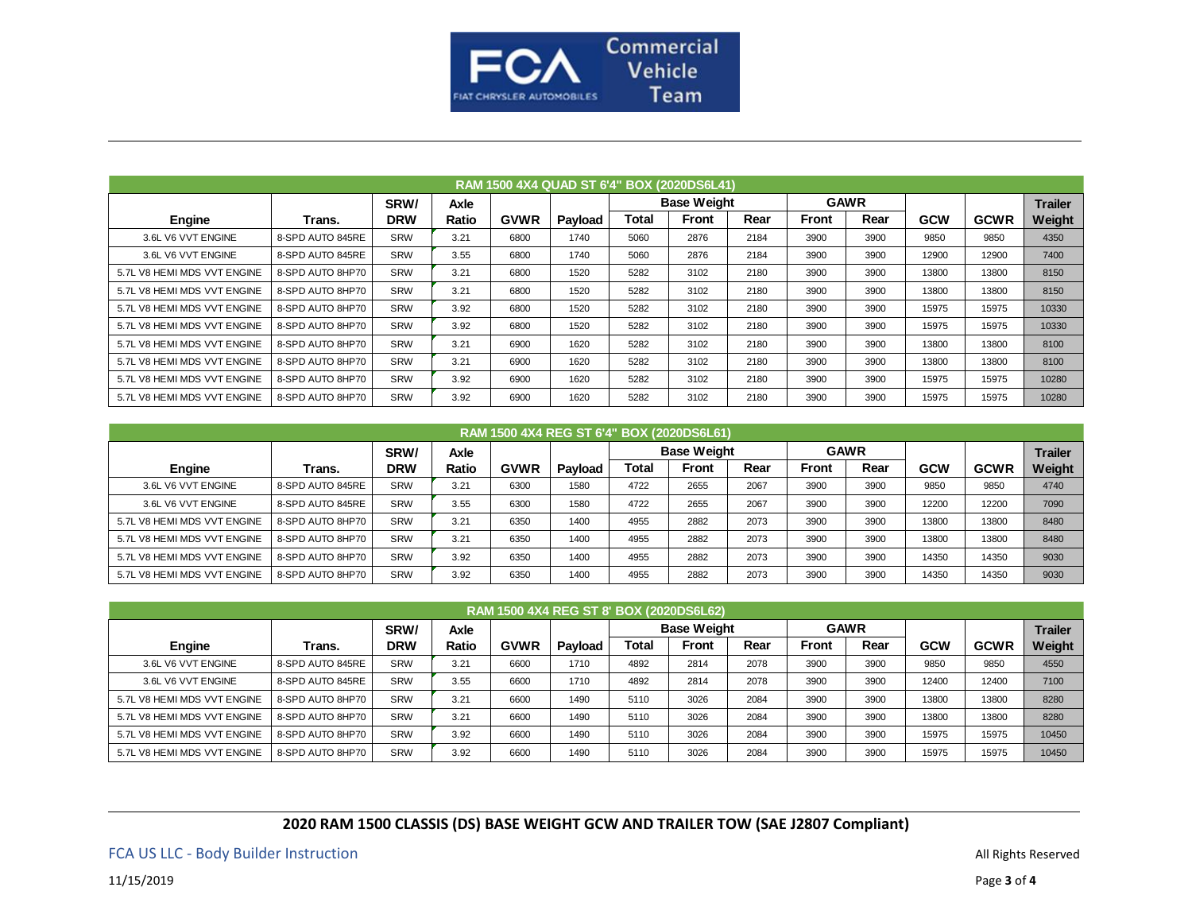

|                             | <b>RAM 1500 4X4 QUAD ST 6'4" BOX (2020DS6L41)</b> |            |       |             |         |       |                    |      |       |             |            |             |                |  |
|-----------------------------|---------------------------------------------------|------------|-------|-------------|---------|-------|--------------------|------|-------|-------------|------------|-------------|----------------|--|
|                             |                                                   | SRW/       | Axle  |             |         |       | <b>Base Weight</b> |      |       | <b>GAWR</b> |            |             | <b>Trailer</b> |  |
| Engine                      | Trans.                                            | <b>DRW</b> | Ratio | <b>GVWR</b> | Payload | Total | <b>Front</b>       | Rear | Front | Rear        | <b>GCW</b> | <b>GCWR</b> | Weight         |  |
| 3.6L V6 VVT ENGINE          | 8-SPD AUTO 845RE                                  | <b>SRW</b> | 3.21  | 6800        | 1740    | 5060  | 2876               | 2184 | 3900  | 3900        | 9850       | 9850        | 4350           |  |
| 3.6L V6 VVT ENGINE          | 8-SPD AUTO 845RE                                  | <b>SRW</b> | 3.55  | 6800        | 1740    | 5060  | 2876               | 2184 | 3900  | 3900        | 12900      | 12900       | 7400           |  |
| 5.7L V8 HEMI MDS VVT ENGINE | 8-SPD AUTO 8HP70                                  | <b>SRW</b> | 3.21  | 6800        | 1520    | 5282  | 3102               | 2180 | 3900  | 3900        | 13800      | 13800       | 8150           |  |
| 5.7L V8 HEMI MDS VVT ENGINE | 8-SPD AUTO 8HP70                                  | <b>SRW</b> | 3.21  | 6800        | 1520    | 5282  | 3102               | 2180 | 3900  | 3900        | 13800      | 13800       | 8150           |  |
| 5.7L V8 HEMI MDS VVT ENGINE | 8-SPD AUTO 8HP70                                  | <b>SRW</b> | 3.92  | 6800        | 1520    | 5282  | 3102               | 2180 | 3900  | 3900        | 15975      | 15975       | 10330          |  |
| 5.7L V8 HEMI MDS VVT ENGINE | 8-SPD AUTO 8HP70                                  | <b>SRW</b> | 3.92  | 6800        | 1520    | 5282  | 3102               | 2180 | 3900  | 3900        | 15975      | 15975       | 10330          |  |
| 5.7L V8 HEMI MDS VVT ENGINE | 8-SPD AUTO 8HP70                                  | <b>SRW</b> | 3.21  | 6900        | 1620    | 5282  | 3102               | 2180 | 3900  | 3900        | 13800      | 13800       | 8100           |  |
| 5.7L V8 HEMI MDS VVT ENGINE | 8-SPD AUTO 8HP70                                  | <b>SRW</b> | 3.21  | 6900        | 1620    | 5282  | 3102               | 2180 | 3900  | 3900        | 13800      | 13800       | 8100           |  |
| 5.7L V8 HEMI MDS VVT ENGINE | 8-SPD AUTO 8HP70                                  | <b>SRW</b> | 3.92  | 6900        | 1620    | 5282  | 3102               | 2180 | 3900  | 3900        | 15975      | 15975       | 10280          |  |
| 5.7L V8 HEMI MDS VVT ENGINE | 8-SPD AUTO 8HP70                                  | <b>SRW</b> | 3.92  | 6900        | 1620    | 5282  | 3102               | 2180 | 3900  | 3900        | 15975      | 15975       | 10280          |  |

| RAM 1500 4X4 REG ST 6'4" BOX (2020DS6L61) |                  |            |       |             |         |       |                    |      |              |      |            |             |                |
|-------------------------------------------|------------------|------------|-------|-------------|---------|-------|--------------------|------|--------------|------|------------|-------------|----------------|
|                                           |                  | SRW/       | Axle  |             |         |       | <b>Base Weight</b> |      | <b>GAWR</b>  |      |            |             | <b>Trailer</b> |
| Engine                                    | Trans.           | <b>DRW</b> | Ratio | <b>GVWR</b> | Payload | Total | <b>Front</b>       | Rear | <b>Front</b> | Rear | <b>GCW</b> | <b>GCWR</b> | Weight         |
| 3.6L V6 VVT ENGINE                        | 8-SPD AUTO 845RE | <b>SRW</b> | 3.21  | 6300        | 1580    | 4722  | 2655               | 2067 | 3900         | 3900 | 9850       | 9850        | 4740           |
| 3.6L V6 VVT ENGINE                        | 8-SPD AUTO 845RE | <b>SRW</b> | 3.55  | 6300        | 1580    | 4722  | 2655               | 2067 | 3900         | 3900 | 12200      | 12200       | 7090           |
| 5.7L V8 HEMI MDS VVT ENGINE               | 8-SPD AUTO 8HP70 | SRW        | 3.21  | 6350        | 1400    | 4955  | 2882               | 2073 | 3900         | 3900 | 13800      | 13800       | 8480           |
| 5.7L V8 HEMI MDS VVT ENGINE               | 8-SPD AUTO 8HP70 | <b>SRW</b> | 3.21  | 6350        | 1400    | 4955  | 2882               | 2073 | 3900         | 3900 | 13800      | 13800       | 8480           |
| 5.7L V8 HEMI MDS VVT ENGINE               | 8-SPD AUTO 8HP70 | <b>SRW</b> | 3.92  | 6350        | 1400    | 4955  | 2882               | 2073 | 3900         | 3900 | 14350      | 14350       | 9030           |
| 5.7L V8 HEMI MDS VVT ENGINE               | 8-SPD AUTO 8HP70 | <b>SRW</b> | 3.92  | 6350        | 1400    | 4955  | 2882               | 2073 | 3900         | 3900 | 14350      | 14350       | 9030           |

| RAM 1500 4X4 REG ST 8' BOX (2020DS6L62) |                  |            |             |             |         |       |                    |      |              |      |            |             |                |  |
|-----------------------------------------|------------------|------------|-------------|-------------|---------|-------|--------------------|------|--------------|------|------------|-------------|----------------|--|
|                                         |                  | SRW/       | <b>Axle</b> |             |         |       | <b>Base Weight</b> |      | <b>GAWR</b>  |      |            |             | <b>Trailer</b> |  |
| Engine                                  | Trans.           | <b>DRW</b> | Ratio       | <b>GVWR</b> | Payload | Total | <b>Front</b>       | Rear | <b>Front</b> | Rear | <b>GCW</b> | <b>GCWR</b> | Weight         |  |
| 3.6L V6 VVT ENGINE                      | 8-SPD AUTO 845RE | <b>SRW</b> | 3.21        | 6600        | 1710    | 4892  | 2814               | 2078 | 3900         | 3900 | 9850       | 9850        | 4550           |  |
| 3.6L V6 VVT ENGINE                      | 8-SPD AUTO 845RE | <b>SRW</b> | 3.55        | 6600        | 1710    | 4892  | 2814               | 2078 | 3900         | 3900 | 12400      | 12400       | 7100           |  |
| 5.7L V8 HEMI MDS VVT ENGINE             | 8-SPD AUTO 8HP70 | <b>SRW</b> | 3.21        | 6600        | 1490    | 5110  | 3026               | 2084 | 3900         | 3900 | 13800      | 13800       | 8280           |  |
| 5.7L V8 HEMI MDS VVT ENGINE             | 8-SPD AUTO 8HP70 | <b>SRW</b> | 3.21        | 6600        | 1490    | 5110  | 3026               | 2084 | 3900         | 3900 | 13800      | 13800       | 8280           |  |
| 5.7L V8 HEMI MDS VVT ENGINE             | 8-SPD AUTO 8HP70 | <b>SRW</b> | 3.92        | 6600        | 1490    | 5110  | 3026               | 2084 | 3900         | 3900 | 15975      | 15975       | 10450          |  |
| 5.7L V8 HEMI MDS VVT ENGINE             | 8-SPD AUTO 8HP70 | <b>SRW</b> | 3.92        | 6600        | 1490    | 5110  | 3026               | 2084 | 3900         | 3900 | 15975      | 15975       | 10450          |  |